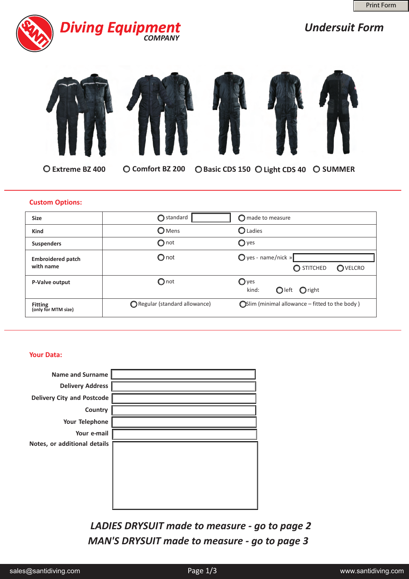

# *Undersuit Form*









 $\bigcirc$  Extreme BZ 400  $\bigcirc$  Comfort BZ 200

**C** Basic CDS 150  $\bigcirc$  Light CDS 40  $\bigcirc$  SUMMER

## **Custom Options:**

| <b>Size</b>                           | $\bigcirc$ standard          | $\bigcirc$ made to measure                                     |
|---------------------------------------|------------------------------|----------------------------------------------------------------|
| <b>Kind</b>                           | <b>O</b> Mens                | <b>O</b> Ladies                                                |
| <b>Suspenders</b>                     | $\bigcirc$ not               | $\bigcirc$ yes                                                 |
| <b>Embroidered patch</b><br>with name | $\bigcirc$ not               | $\bigcirc$ yes - name/nick »<br>$\bigcirc$ STITCHED<br>OVELCRO |
| P-Valve output                        | $\bigcirc$ not               | $\bigcirc$ yes<br>Oleft Oright<br>kind:                        |
| <b>Fitting</b><br>(only for MTM size) | Regular (standard allowance) | $\bigcirc$ Slim (minimal allowance – fitted to the body)       |

### **Your Data:**

| <b>Name and Surname</b>           |  |
|-----------------------------------|--|
| <b>Delivery Address</b>           |  |
| <b>Delivery City and Postcode</b> |  |
| Country                           |  |
| Your Telephone                    |  |
| Your e-mail                       |  |
| Notes, or additional details      |  |
|                                   |  |

*LADIES DRYSUIT made to measure - go to page 2 MAN'S DRYSUIT made to measure - go to page 3*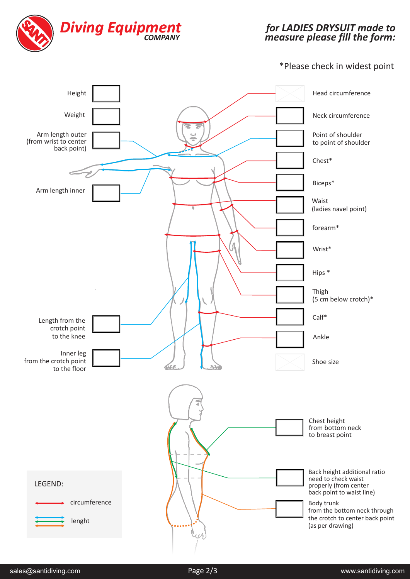

#### *for LADIES made to measure please fill the form: DRYSUIT*

# \*Please check in widest point